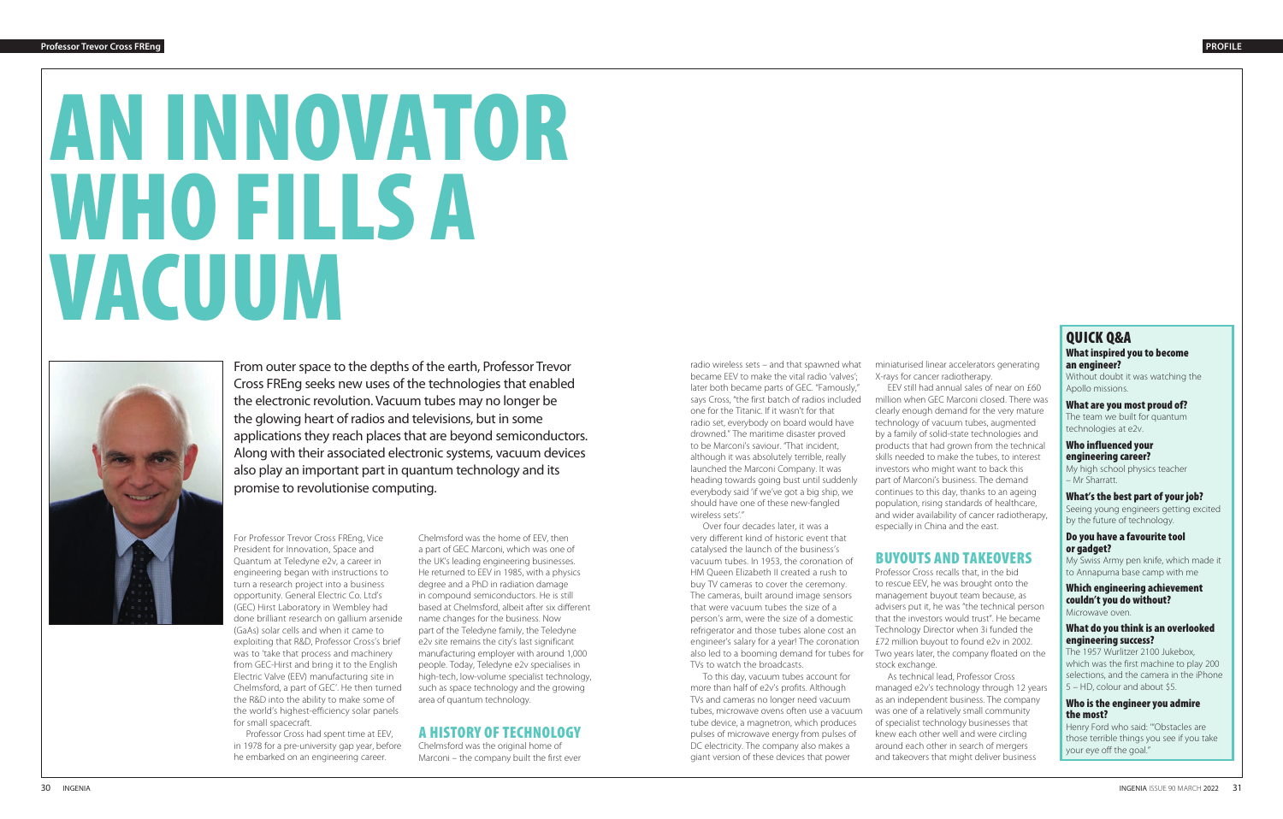# AN INNOVATOR WHO FILLS A VACUUM



From outer space to the depths of the earth, Professor Trevor Cross FREng seeks new uses of the technologies that enabled the electronic revolution. Vacuum tubes may no longer be the glowing heart of radios and televisions, but in some applications they reach places that are beyond semiconductors. Along with their associated electronic systems, vacuum devices also play an important part in quantum technology and its promise to revolutionise computing.

For Professor Trevor Cross FREng, Vice President for Innovation, Space and Quantum at Teledyne e2v, a career in engineering began with instructions to turn a research project into a business opportunity. General Electric Co. Ltd's (GEC) Hirst Laboratory in Wembley had done brilliant research on gallium arsenide (GaAs) solar cells and when it came to exploiting that R&D, Professor Cross's brief was to 'take that process and machinery from GEC-Hirst and bring it to the English Electric Valve (EEV) manufacturing site in Chelmsford, a part of GEC'. He then turned the R&D into the ability to make some of the world's highest-efficiency solar panels for small spacecraft.

Professor Cross had spent time at EEV, in 1978 for a pre-university gap year, before he embarked on an engineering career.

miniaturised linear accelerators generating X-rays for cancer radiotherapy.

EEV still had annual sales of near on £60 million when GEC Marconi closed. There was clearly enough demand for the very mature technology of vacuum tubes, augmented by a family of solid-state technologies and products that had grown from the technical skills needed to make the tubes, to interest investors who might want to back this part of Marconi's business. The demand continues to this day, thanks to an ageing population, rising standards of healthcare, and wider availability of cancer radiotherapy, especially in China and the east.

# BUYOUTS AND TAKEOVERS

Professor Cross recalls that, in the bid to rescue EEV, he was brought onto the management buyout team because, as advisers put it, he was "the technical person that the investors would trust". He became Technology Director when 3i funded the £72 million buyout to found e2v in 2002. Two years later, the company floated on the stock exchange.

As technical lead, Professor Cross managed e2v's technology through 12 years as an independent business. The company was one of a relatively small community of specialist technology businesses that knew each other well and were circling around each other in search of mergers and takeovers that might deliver business

# QUICK Q&A

#### What inspired you to become an engineer?

Without doubt it was watching the Apollo missions.

#### What are you most proud of?

The team we built for quantum technologies at e2v.

#### Who influenced your engineering career?

My high school physics teacher – Mr Sharratt.

#### What's the best part of your job?

Seeing young engineers getting excited by the future of technology.

#### Do you have a favourite tool or gadget?

My Swiss Army pen knife, which made it to Annapurna base camp with me

#### Which engineering achievement couldn't you do without? Microwave oven.

#### What do you think is an overlooked engineering success?

The 1957 Wurlitzer 2100 Jukebox, which was the first machine to play 200 selections, and the camera in the iPhone 5 – HD, colour and about \$5.

#### Who is the engineer you admire the most?

Henry Ford who said: '"Obstacles are those terrible things you see if you take your eye off the goal."

Chelmsford was the home of EEV, then a part of GEC Marconi, which was one of the UK's leading engineering businesses. He returned to EEV in 1985, with a physics degree and a PhD in radiation damage in compound semiconductors. He is still based at Chelmsford, albeit after six different name changes for the business. Now part of the Teledyne family, the Teledyne e2v site remains the city's last significant manufacturing employer with around 1,000 people. Today, Teledyne e2v specialises in high-tech, low-volume specialist technology, such as space technology and the growing area of quantum technology.

# A HISTORY OF TECHNOLOGY

Chelmsford was the original home of Marconi – the company built the first ever

radio wireless sets – and that spawned what became EEV to make the vital radio 'valves'; later both became parts of GEC. "Famously," says Cross, "the first batch of radios included one for the Titanic. If it wasn't for that radio set, everybody on board would have drowned." The maritime disaster proved to be Marconi's saviour. "That incident, although it was absolutely terrible, really launched the Marconi Company. It was heading towards going bust until suddenly everybody said 'if we've got a big ship, we should have one of these new-fangled wireless sets'."

Over four decades later, it was a very different kind of historic event that catalysed the launch of the business's vacuum tubes. In 1953, the coronation of HM Queen Elizabeth II created a rush to buy TV cameras to cover the ceremony. The cameras, built around image sensors that were vacuum tubes the size of a person's arm, were the size of a domestic refrigerator and those tubes alone cost an engineer's salary for a year! The coronation also led to a booming demand for tubes for TVs to watch the broadcasts.

To this day, vacuum tubes account for more than half of e2v's profits. Although TVs and cameras no longer need vacuum tubes, microwave ovens often use a vacuum tube device, a magnetron, which produces pulses of microwave energy from pulses of DC electricity. The company also makes a giant version of these devices that power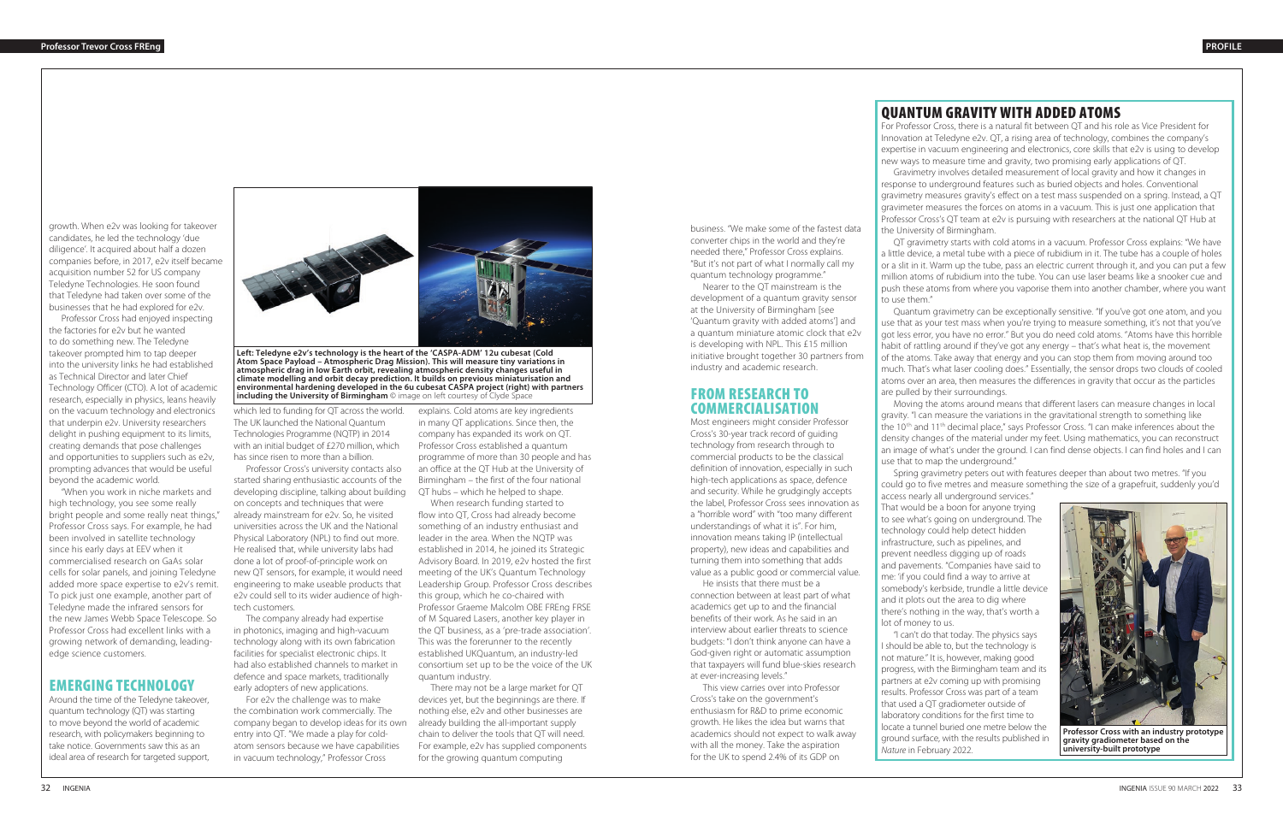# QUANTUM GRAVITY WITH ADDED ATOMS

For Professor Cross, there is a natural fit between QT and his role as Vice President for Innovation at Teledyne e2v. QT, a rising area of technology, combines the company's expertise in vacuum engineering and electronics, core skills that e2v is using to develop new ways to measure time and gravity, two promising early applications of QT.

Gravimetry involves detailed measurement of local gravity and how it changes in response to underground features such as buried objects and holes. Conventional gravimetry measures gravity's effect on a test mass suspended on a spring. Instead, a QT gravimeter measures the forces on atoms in a vacuum. This is just one application that Professor Cross's QT team at e2v is pursuing with researchers at the national QT Hub at the University of Birmingham.

QT gravimetry starts with cold atoms in a vacuum. Professor Cross explains: "We have a little device, a metal tube with a piece of rubidium in it. The tube has a couple of holes or a slit in it. Warm up the tube, pass an electric current through it, and you can put a few million atoms of rubidium into the tube. You can use laser beams like a snooker cue and push these atoms from where you vaporise them into another chamber, where you want to use them."

Quantum gravimetry can be exceptionally sensitive. "If you've got one atom, and you use that as your test mass when you're trying to measure something, it's not that you've got less error, you have no error." But you do need cold atoms. "Atoms have this horrible habit of rattling around if they've got any energy – that's what heat is, the movement of the atoms. Take away that energy and you can stop them from moving around too much. That's what laser cooling does." Essentially, the sensor drops two clouds of cooled atoms over an area, then measures the differences in gravity that occur as the particles are pulled by their surroundings.

Moving the atoms around means that different lasers can measure changes in local gravity. "I can measure the variations in the gravitational strength to something like the 10<sup>th</sup> and 11<sup>th</sup> decimal place," says Professor Cross. "I can make inferences about the density changes of the material under my feet. Using mathematics, you can reconstruct an image of what's under the ground. I can find dense objects. I can find holes and I can use that to map the underground."

Spring gravimetry peters out with features deeper than about two metres. "If you could go to five metres and measure something the size of a grapefruit, suddenly you'd

access nearly all underground services." That would be a boon for anyone trying to see what's going on underground. The technology could help detect hidden infrastructure, such as pipelines, and prevent needless digging up of roads and pavements. "Companies have said to me: 'if you could find a way to arrive at somebody's kerbside, trundle a little device and it plots out the area to dig where there's nothing in the way, that's worth a lot of money to us.

"I can't do that today. The physics says I should be able to, but the technology is not mature." It is, however, making good progress, with the Birmingham team and its partners at e2v coming up with promising results. Professor Cross was part of a team that used a QT gradiometer outside of laboratory conditions for the first time to locate a tunnel buried one metre below the ground surface, with the results published in *Nature* in February 2022.

which led to funding for QT across the world. The UK launched the National Quantum Technologies Programme (NQTP) in 2014 with an initial budget of £270 million, which has since risen to more than a billion.

Professor Cross's university contacts also started sharing enthusiastic accounts of the developing discipline, talking about building on concepts and techniques that were already mainstream for e2v. So, he visited universities across the UK and the National Physical Laboratory (NPL) to find out more. He realised that, while university labs had done a lot of proof-of-principle work on new QT sensors, for example, it would need engineering to make useable products that e2v could sell to its wider audience of hightech customers.

The company already had expertise in photonics, imaging and high-vacuum technology along with its own fabrication facilities for specialist electronic chips. It had also established channels to market in defence and space markets, traditionally early adopters of new applications.

For e2v the challenge was to make the combination work commercially. The company began to develop ideas for its own entry into QT. "We made a play for coldatom sensors because we have capabilities in vacuum technology," Professor Cross



**Left: Teledyne e2v's technology is the heart of the 'CASPA-ADM' 12u cubesat (Cold Atom Space Payload – Atmospheric Drag Mission). This will measure tiny variations in atmospheric drag in low Earth orbit, revealing atmospheric density changes useful in climate modelling and orbit decay prediction. It builds on previous miniaturisation and environmental hardening developed in the 6u cubesat CASPA project (right) with partners including the University of Birmingham** © image on left courtesy of Clyde Space

explains. Cold atoms are key ingredients in many QT applications. Since then, the company has expanded its work on QT. Professor Cross established a quantum programme of more than 30 people and has an office at the QT Hub at the University of Birmingham – the first of the four national QT hubs – which he helped to shape.

When research funding started to flow into QT, Cross had already become something of an industry enthusiast and leader in the area. When the NQTP was established in 2014, he joined its Strategic Advisory Board. In 2019, e2v hosted the first meeting of the UK's Quantum Technology Leadership Group. Professor Cross describes this group, which he co-chaired with Professor Graeme Malcolm OBE FREng FRSE of M Squared Lasers, another key player in the QT business, as a 'pre-trade association'. This was the forerunner to the recently established UKQuantum, an industry-led consortium set up to be the voice of the UK quantum industry.

There may not be a large market for QT devices yet, but the beginnings are there. If nothing else, e2v and other businesses are already building the all-important supply chain to deliver the tools that QT will need. For example, e2v has supplied components for the growing quantum computing

business. "We make some of the fastest data converter chips in the world and they're needed there," Professor Cross explains. "But it's not part of what I normally call my quantum technology programme."

Nearer to the QT mainstream is the development of a quantum gravity sensor at the University of Birmingham [see 'Quantum gravity with added atoms'] and a quantum miniature atomic clock that e2v is developing with NPL. This £15 million initiative brought together 30 partners from industry and academic research.

## FROM RESEARCH TO COMMERCIALISATION

Most engineers might consider Professor Cross's 30-year track record of guiding technology from research through to commercial products to be the classical definition of innovation, especially in such high-tech applications as space, defence and security. While he grudgingly accepts the label, Professor Cross sees innovation as a "horrible word" with "too many different understandings of what it is". For him, innovation means taking IP (intellectual property), new ideas and capabilities and turning them into something that adds value as a public good or commercial value.

He insists that there must be a connection between at least part of what academics get up to and the financial benefits of their work. As he said in an interview about earlier threats to science budgets: "I don't think anyone can have a God-given right or automatic assumption that taxpayers will fund blue-skies research at ever-increasing levels."

This view carries over into Professor Cross's take on the government's enthusiasm for R&D to prime economic growth. He likes the idea but warns that academics should not expect to walk away with all the money. Take the aspiration for the UK to spend 2.4% of its GDP on

growth. When e2v was looking for takeover candidates, he led the technology 'due diligence'. It acquired about half a dozen companies before, in 2017, e2v itself became acquisition number 52 for US company Teledyne Technologies. He soon found that Teledyne had taken over some of the businesses that he had explored for e2v.

Professor Cross had enjoyed inspecting the factories for e2v but he wanted to do something new. The Teledyne takeover prompted him to tap deeper into the university links he had established as Technical Director and later Chief Technology Officer (CTO). A lot of academic research, especially in physics, leans heavily on the vacuum technology and electronics that underpin e2v. University researchers delight in pushing equipment to its limits, creating demands that pose challenges and opportunities to suppliers such as e2v, prompting advances that would be useful beyond the academic world.

"When you work in niche markets and high technology, you see some really bright people and some really neat things," Professor Cross says. For example, he had been involved in satellite technology since his early days at EEV when it commercialised research on GaAs solar cells for solar panels, and joining Teledyne added more space expertise to e2v's remit. To pick just one example, another part of Teledyne made the infrared sensors for the new James Webb Space Telescope. So Professor Cross had excellent links with a growing network of demanding, leadingedge science customers.

## EMERGING TECHNOLOGY

Around the time of the Teledyne takeover, quantum technology (QT) was starting to move beyond the world of academic research, with policymakers beginning to take notice. Governments saw this as an ideal area of research for targeted support,



**Professor Cross with an industry prototype gravity gradiometer based on the university-built prototype**